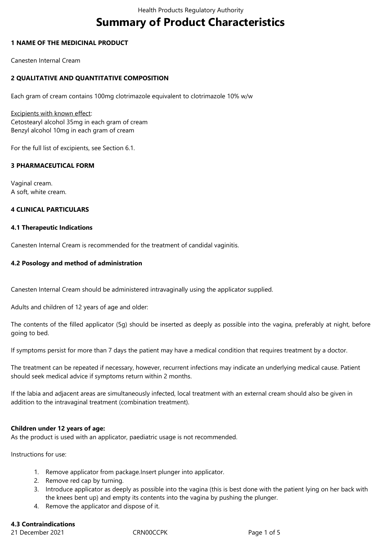# **Summary of Product Characteristics**

## **1 NAME OF THE MEDICINAL PRODUCT**

Canesten Internal Cream

## **2 QUALITATIVE AND QUANTITATIVE COMPOSITION**

Each gram of cream contains 100mg clotrimazole equivalent to clotrimazole 10% w/w

Excipients with known effect: Cetostearyl alcohol 35mg in each gram of cream Benzyl alcohol 10mg in each gram of cream

For the full list of excipients, see Section 6.1*.*

## **3 PHARMACEUTICAL FORM**

Vaginal cream. A soft, white cream.

## **4 CLINICAL PARTICULARS**

## **4.1 Therapeutic Indications**

Canesten Internal Cream is recommended for the treatment of candidal vaginitis.

## **4.2 Posology and method of administration**

Canesten Internal Cream should be administered intravaginally using the applicator supplied.

Adults and children of 12 years of age and older:

The contents of the filled applicator (5g) should be inserted as deeply as possible into the vagina, preferably at night, before going to bed.

If symptoms persist for more than 7 days the patient may have a medical condition that requires treatment by a doctor.

The treatment can be repeated if necessary, however, recurrent infections may indicate an underlying medical cause. Patient should seek medical advice if symptoms return within 2 months.

If the labia and adjacent areas are simultaneously infected, local treatment with an external cream should also be given in addition to the intravaginal treatment (combination treatment).

## **Children under 12 years of age:**

As the product is used with an applicator, paediatric usage is not recommended.

Instructions for use:

- 1. Remove applicator from package.Insert plunger into applicator.
- 2. Remove red cap by turning.
- 3. Introduce applicator as deeply as possible into the vagina (this is best done with the patient lying on her back with the knees bent up) and empty its contents into the vagina by pushing the plunger.
- 4. Remove the applicator and dispose of it.

## **4.3 Contraindications**

21 December 2021 CRN00CCPK Page 1 of 5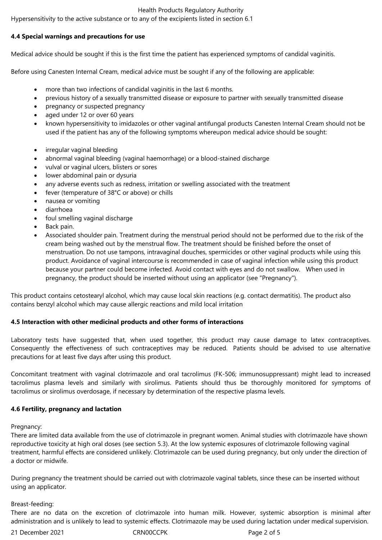#### Health Products Regulatory Authority

Hypersensitivity to the active substance or to any of the excipients listed in section 6.1

## **4.4 Special warnings and precautions for use**

Medical advice should be sought if this is the first time the patient has experienced symptoms of candidal vaginitis.

Before using Canesten Internal Cream, medical advice must be sought if any of the following are applicable:

- more than two infections of candidal vaginitis in the last 6 months.
- previous history of a sexually transmitted disease or exposure to partner with sexually transmitted disease
- pregnancy or suspected pregnancy
- aged under 12 or over 60 years
- known hypersensitivity to imidazoles or other vaginal antifungal products Canesten Internal Cream should not be used if the patient has any of the following symptoms whereupon medical advice should be sought:
- irregular vaginal bleeding
- abnormal vaginal bleeding (vaginal haemorrhage) or a blood-stained discharge
- vulval or vaginal ulcers, blisters or sores
- lower abdominal pain or dysuria
- any adverse events such as redness, irritation or swelling associated with the treatment
- fever (temperature of 38°C or above) or chills
- nausea or vomiting
- diarrhoea
- foul smelling vaginal discharge
- Back pain.
- Associated shoulder pain. Treatment during the menstrual period should not be performed due to the risk of the cream being washed out by the menstrual flow. The treatment should be finished before the onset of menstruation. Do not use tampons, intravaginal douches, spermicides or other vaginal products while using this product. Avoidance of vaginal intercourse is recommended in case of vaginal infection while using this product because your partner could become infected. Avoid contact with eyes and do not swallow. When used in pregnancy, the product should be inserted without using an applicator (see "Pregnancy").

This product contains cetostearyl alcohol, which may cause local skin reactions (e.g. contact dermatitis). The product also contains benzyl alcohol which may cause allergic reactions and mild local irritation

## **4.5 Interaction with other medicinal products and other forms of interactions**

Laboratory tests have suggested that, when used together, this product may cause damage to latex contraceptives. Consequently the effectiveness of such contraceptives may be reduced. Patients should be advised to use alternative precautions for at least five days after using this product.

Concomitant treatment with vaginal clotrimazole and oral tacrolimus (FK-506; immunosuppressant) might lead to increased tacrolimus plasma levels and similarly with sirolimus. Patients should thus be thoroughly monitored for symptoms of tacrolimus or sirolimus overdosage, if necessary by determination of the respective plasma levels.

## **4.6 Fertility, pregnancy and lactation**

Pregnancy:

There are limited data available from the use of clotrimazole in pregnant women. Animal studies with clotrimazole have shown reproductive toxicity at high oral doses (see section 5.3). At the low systemic exposures of clotrimazole following vaginal treatment, harmful effects are considered unlikely. Clotrimazole can be used during pregnancy, but only under the direction of a doctor or midwife.

During pregnancy the treatment should be carried out with clotrimazole vaginal tablets, since these can be inserted without using an applicator.

## Breast-feeding:

There are no data on the excretion of clotrimazole into human milk. However, systemic absorption is minimal after administration and is unlikely to lead to systemic effects. Clotrimazole may be used during lactation under medical supervision.

21 December 2021 CRN00CCPK Page 2 of 5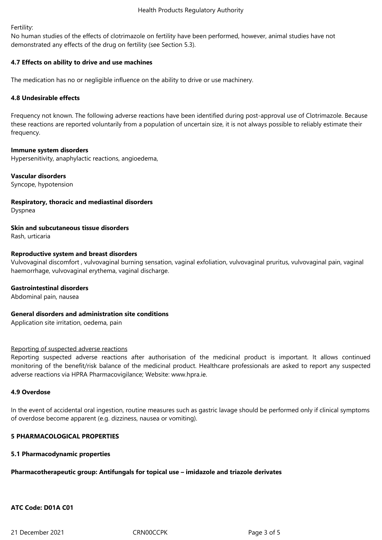Fertility:

No human studies of the effects of clotrimazole on fertility have been performed, however, animal studies have not demonstrated any effects of the drug on fertility (see Section 5.3).

## **4.7 Effects on ability to drive and use machines**

The medication has no or negligible influence on the ability to drive or use machinery.

## **4.8 Undesirable effects**

Frequency not known. The following adverse reactions have been identified during post-approval use of Clotrimazole. Because these reactions are reported voluntarily from a population of uncertain size, it is not always possible to reliably estimate their frequency.

## **Immune system disorders**

Hypersenitivity, anaphylactic reactions, angioedema,

## **Vascular disorders**

Syncope, hypotension

**Respiratory, thoracic and mediastinal disorders**

Dyspnea

**Skin and subcutaneous tissue disorders**

Rash, urticaria

## **Reproductive system and breast disorders**

Vulvovaginal discomfort , vulvovaginal burning sensation, vaginal exfoliation, vulvovaginal pruritus, vulvovaginal pain, vaginal haemorrhage, vulvovaginal erythema, vaginal discharge.

## **Gastrointestinal disorders**

Abdominal pain, nausea

## **General disorders and administration site conditions**

Application site irritation, oedema, pain

## Reporting of suspected adverse reactions

Reporting suspected adverse reactions after authorisation of the medicinal product is important. It allows continued monitoring of the benefit/risk balance of the medicinal product. Healthcare professionals are asked to report any suspected adverse reactions via HPRA Pharmacovigilance; Website: www.hpra.ie.

## **4.9 Overdose**

In the event of accidental oral ingestion, routine measures such as gastric lavage should be performed only if clinical symptoms of overdose become apparent (e.g. dizziness, nausea or vomiting).

## **5 PHARMACOLOGICAL PROPERTIES**

## **5.1 Pharmacodynamic properties**

# **Pharmacotherapeutic group: Antifungals for topical use – imidazole and triazole derivates**

# **ATC Code: D01A C01**

21 December 2021 CRN00CCPK Page 3 of 5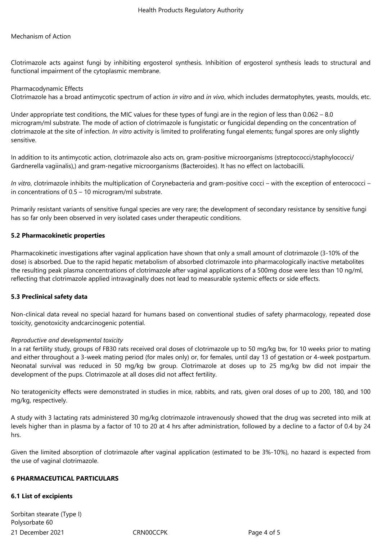## Mechanism of Action

Clotrimazole acts against fungi by inhibiting ergosterol synthesis. Inhibition of ergosterol synthesis leads to structural and functional impairment of the cytoplasmic membrane.

#### Pharmacodynamic Effects

Clotrimazole has a broad antimycotic spectrum of action *in vitro* and *in vivo*, which includes dermatophytes, yeasts, moulds, etc.

Under appropriate test conditions, the MIC values for these types of fungi are in the region of less than 0.062 – 8.0 microgram/ml substrate. The mode of action of clotrimazole is fungistatic or fungicidal depending on the concentration of clotrimazole at the site of infection. *In vitro* activity is limited to proliferating fungal elements; fungal spores are only slightly sensitive.

In addition to its antimycotic action, clotrimazole also acts on, gram-positive microorganisms (streptococci/staphylococci/ Gardnerella vagiinalis),) and gram-negative microorganisms (Bacteroides). It has no effect on lactobacilli.

*In vitro*, clotrimazole inhibits the multiplication of Corynebacteria and gram-positive cocci – with the exception of enterococci – in concentrations of 0.5 – 10 microgram/ml substrate.

Primarily resistant variants of sensitive fungal species are very rare; the development of secondary resistance by sensitive fungi has so far only been observed in very isolated cases under therapeutic conditions.

## **5.2 Pharmacokinetic properties**

Pharmacokinetic investigations after vaginal application have shown that only a small amount of clotrimazole (3-10% of the dose) is absorbed. Due to the rapid hepatic metabolism of absorbed clotrimazole into pharmacologically inactive metabolites the resulting peak plasma concentrations of clotrimazole after vaginal applications of a 500mg dose were less than 10 ng/ml, reflecting that clotrimazole applied intravaginally does not lead to measurable systemic effects or side effects.

## **5.3 Preclinical safety data**

Non-clinical data reveal no special hazard for humans based on conventional studies of safety pharmacology, repeated dose toxicity, genotoxicity andcarcinogenic potential.

## *Reproductive and developmental toxicity*

In a rat fertility study, groups of FB30 rats received oral doses of clotrimazole up to 50 mg/kg bw, for 10 weeks prior to mating and either throughout a 3-week mating period (for males only) or, for females, until day 13 of gestation or 4-week postpartum. Neonatal survival was reduced in 50 mg/kg bw group. Clotrimazole at doses up to 25 mg/kg bw did not impair the development of the pups. Clotrimazole at all doses did not affect fertility.

No teratogenicity effects were demonstrated in studies in mice, rabbits, and rats, given oral doses of up to 200, 180, and 100 mg/kg, respectively.

A study with 3 lactating rats administered 30 mg/kg clotrimazole intravenously showed that the drug was secreted into milk at levels higher than in plasma by a factor of 10 to 20 at 4 hrs after administration, followed by a decline to a factor of 0.4 by 24 hrs.

Given the limited absorption of clotrimazole after vaginal application (estimated to be 3%-10%), no hazard is expected from the use of vaginal clotrimazole.

#### **6 PHARMACEUTICAL PARTICULARS**

## **6.1 List of excipients**

21 December 2021 CRN00CCPK Page 4 of 5 Sorbitan stearate (Type I) Polysorbate 60